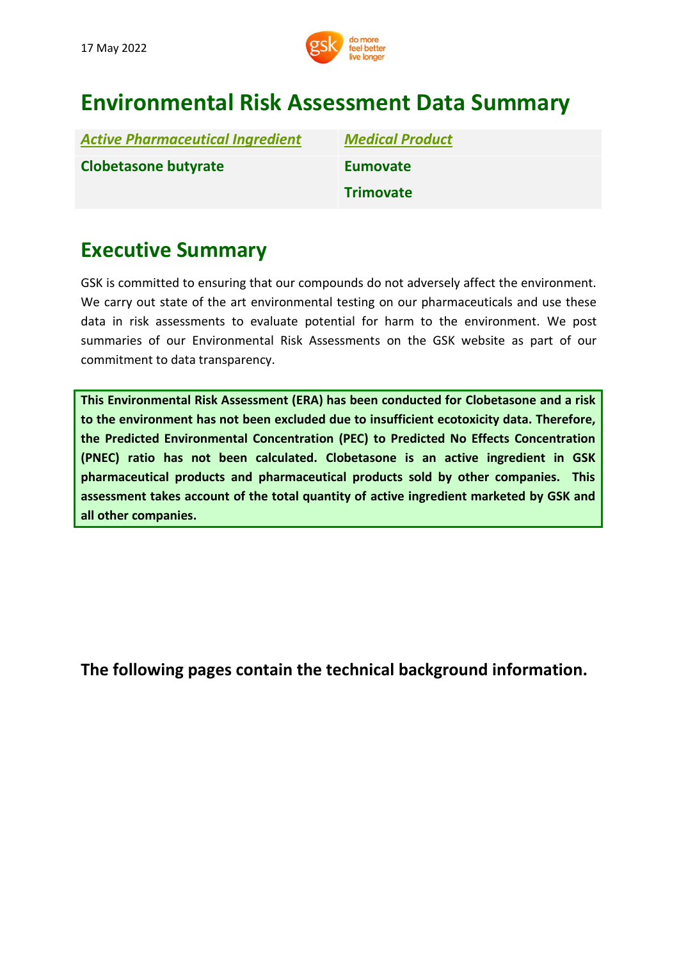

# **Environmental Risk Assessment Data Summary**

| <b>Active Pharmaceutical Ingredient</b> | <b>Medical Product</b> |
|-----------------------------------------|------------------------|
| <b>Clobetasone butyrate</b>             | <b>Eumovate</b>        |
|                                         | <b>Trimovate</b>       |

# **Executive Summary**

GSK is committed to ensuring that our compounds do not adversely affect the environment. We carry out state of the art environmental testing on our pharmaceuticals and use these data in risk assessments to evaluate potential for harm to the environment. We post summaries of our Environmental Risk Assessments on the GSK website as part of our commitment to data transparency.

**This Environmental Risk Assessment (ERA) has been conducted for Clobetasone and a risk to the environment has not been excluded due to insufficient ecotoxicity data. Therefore, the Predicted Environmental Concentration (PEC) to Predicted No Effects Concentration (PNEC) ratio has not been calculated. Clobetasone is an active ingredient in GSK pharmaceutical products and pharmaceutical products sold by other companies. This assessment takes account of the total quantity of active ingredient marketed by GSK and all other companies.**

**[The](http://www.gsk.com/bupropion) following pages contain the technical background information.**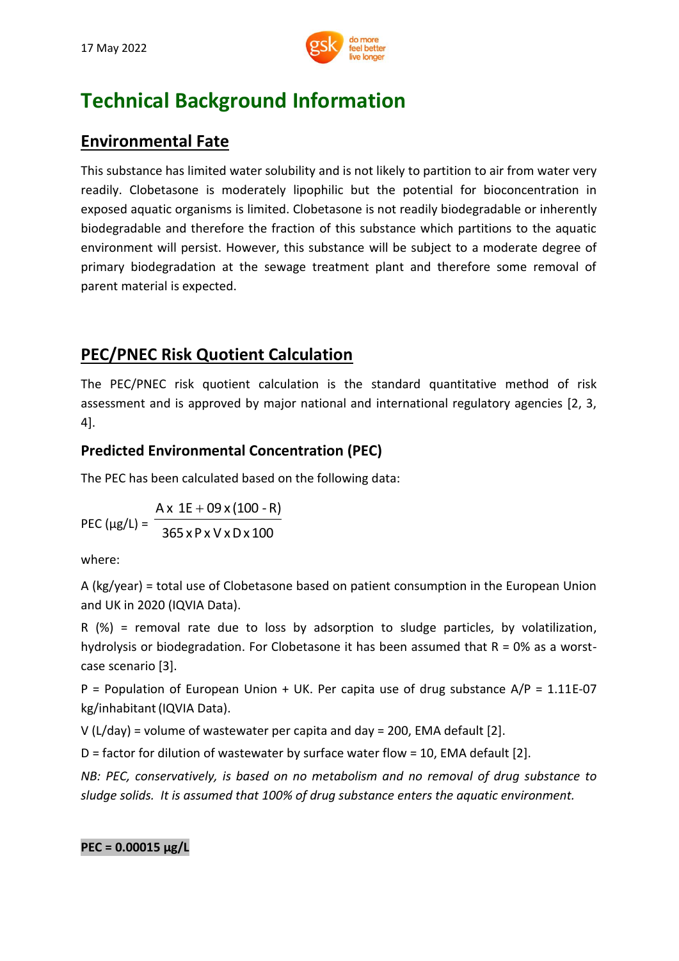

# **Technical Background Information**

## **Environmental Fate**

This substance has limited water solubility and is not likely to partition to air from water very readily. Clobetasone is moderately lipophilic but the potential for bioconcentration in exposed aquatic organisms is limited. Clobetasone is not readily biodegradable or inherently biodegradable and therefore the fraction of this substance which partitions to the aquatic environment will persist. However, this substance will be subject to a moderate degree of primary biodegradation at the sewage treatment plant and therefore some removal of parent material is expected.

## **PEC/PNEC Risk Quotient Calculation**

The PEC/PNEC risk quotient calculation is the standard quantitative method of risk assessment and is approved by major national and international regulatory agencies [2, 3, 4].

## **Predicted Environmental Concentration (PEC)**

The PEC has been calculated based on the following data:

PEC ( $\mu$ g/L) =  $^{-}$ 365 xP x V xDx 100  $Ax 1E + 09x(100 - R)$ 

where:

A (kg/year) = total use of Clobetasone based on patient consumption in the European Union and UK in 2020 (IQVIA Data).

R (%) = removal rate due to loss by adsorption to sludge particles, by volatilization, hydrolysis or biodegradation. For Clobetasone it has been assumed that  $R = 0\%$  as a worstcase scenario [3].

P = Population of European Union + UK. Per capita use of drug substance  $A/P = 1.11E-07$ kg/inhabitant(IQVIA Data).

V (L/day) = volume of wastewater per capita and day = 200, EMA default [2].

D = factor for dilution of wastewater by surface water flow = 10, EMA default [2].

*NB: PEC, conservatively, is based on no metabolism and no removal of drug substance to sludge solids. It is assumed that 100% of drug substance enters the aquatic environment.*

**PEC = 0.00015 μg/L**